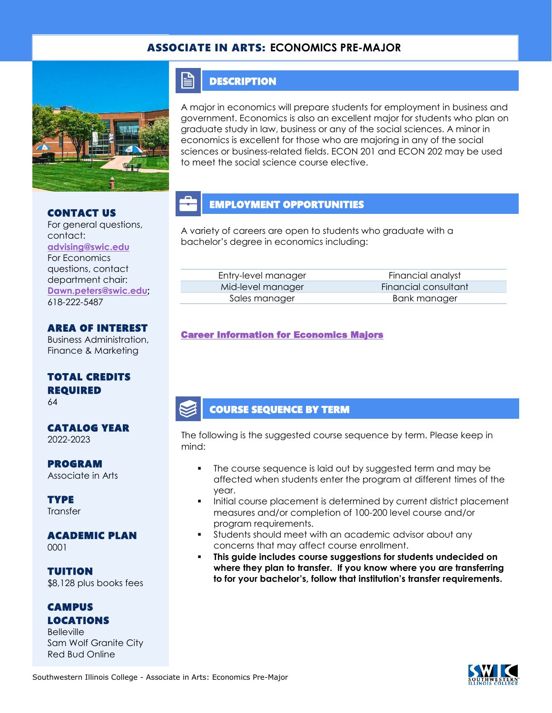### ASSOCIATE IN ARTS: **ECONOMICS PRE-MAJOR**



#### CONTACT US

For general questions, contact: **[advising@swic.edu](mailto:advising@swic.edu)** For Economics questions, contact department chair: **[Dawn.peters@swic.edu;](mailto:Dawn.peters@swic.edu)** 618-222-5487

### AREA OF INTEREST

Business Administration, Finance & Marketing

### TOTAL CREDITS REQUIRED

64

#### CATALOG YEAR 2022-2023

PROGRAM Associate in Arts

**TYPE Transfer** 

## ACADEMIC PLAN

0001

TUITION \$8,128 plus books fees

### **CAMPUS** LOCATIONS

**Belleville** Sam Wolf Granite City Red Bud Online

## **DESCRIPTION**

E

A major in economics will prepare students for employment in business and government. Economics is also an excellent major for students who plan on graduate study in law, business or any of the social sciences. A minor in economics is excellent for those who are majoring in any of the social sciences or business-related fields. ECON 201 and ECON 202 may be used to meet the social science course elective.

# EMPLOYMENT OPPORTUNITIES

A variety of careers are open to students who graduate with a bachelor's degree in economics including:

| Entry-level manager | Financial analyst    |
|---------------------|----------------------|
| Mid-level manager   | Financial consultant |
| Sales manager       | Bank manager         |

### [Career Information for Economics Majors](https://www.onetonline.org/find/quick?s=economics)

### COURSE SEQUENCE BY TERM

The following is the suggested course sequence by term. Please keep in mind:

- The course sequence is laid out by suggested term and may be affected when students enter the program at different times of the year.
- Initial course placement is determined by current district placement measures and/or completion of 100-200 level course and/or program requirements.
- Students should meet with an academic advisor about any concerns that may affect course enrollment.
- **This guide includes course suggestions for students undecided on where they plan to transfer. If you know where you are transferring to for your bachelor's, follow that institution's transfer requirements.**